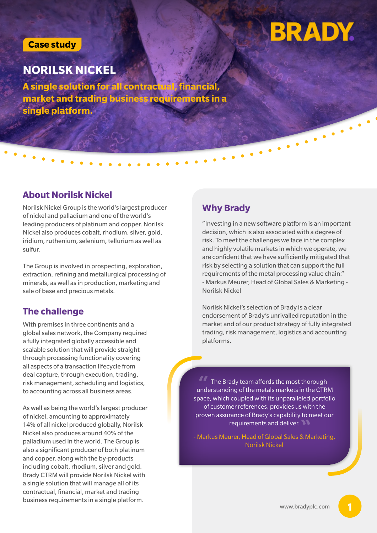#### **Case study**

# **BRADY**

## **NORILSK NICKEL**

**A single solution for all contract market and trading business requirements in a single platform.**

#### **About Norilsk Nickel**

Norilsk Nickel Group is the world's largest producer **Why Brady** of nickel and palladium and one of the world's leading producers of platinum and copper. Norilsk Nickel also produces cobalt, rhodium, silver, gold, iridium, ruthenium, selenium, tellurium as well as sulfur.

The Group is involved in prospecting, exploration, extraction, refining and metallurgical processing of minerals, as well as in production, marketing and sale of base and precious metals.

### **The challenge**

With premises in three continents and a global sales network, the Company required a fully integrated globally accessible and scalable solution that will provide straight through processing functionality covering all aspects of a transaction lifecycle from deal capture, through execution, trading, risk management, scheduling and logistics, to accounting across all business areas.

As well as being the world's largest producer of nickel, amounting to approximately 14% of all nickel produced globally, Norilsk Nickel also produces around 40% of the palladium used in the world. The Group is also a significant producer of both platinum and copper, along with the by-products including cobalt, rhodium, silver and gold. Brady CTRM will provide Norilsk Nickel with a single solution that will manage all of its contractual, financial, market and trading business requirements in a single platform.

"Investing in a new software platform is an important decision, which is also associated with a degree of risk. To meet the challenges we face in the complex and highly volatile markets in which we operate, we are confident that we have sufficiently mitigated that risk by selecting a solution that can support the full requirements of the metal processing value chain." - Markus Meurer, Head of Global Sales & Marketing - Norilsk Nickel

Norilsk Nickel's selection of Brady is a clear endorsement of Brady's unrivalled reputation in the market and of our product strategy of fully integrated trading, risk management, logistics and accounting platforms.

The Brady team affords the most thorough understanding of the metals markets in the CTRM **"** space, which coupled with its unparalleled portfolio of customer references, provides us with the proven assurance of Brady's capability to meet our requirements and deliver. **"**

- Markus Meurer, Head of Global Sales & Marketing, Norilsk Nickel